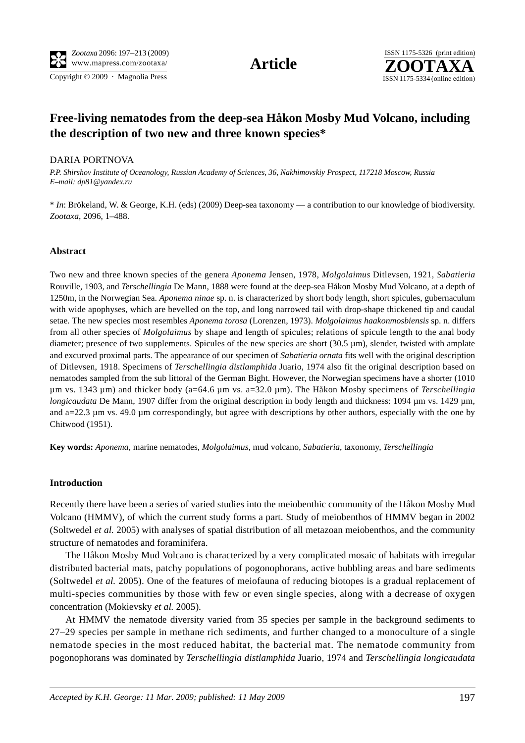Copyright © 2009 · Magnolia Press ISSN 1175-5334 (online edition)



# **Free-living nematodes from the deep-sea Håkon Mosby Mud Volcano, including the description of two new and three known species\***

### DARIA PORTNOVA

*P.P. Shirshov Institute of Oceanology, Russian Academy of Sciences, 36, Nakhimovskiy Prospect, 117218 Moscow, Russia E–mail: dp81@yandex.ru*

\* *In*: Brökeland, W. & George, K.H. (eds) (2009) Deep-sea taxonomy — a contribution to our knowledge of biodiversity. *Zootaxa*, 2096, 1–488.

### **Abstract**

Two new and three known species of the genera *Aponema* Jensen, 1978*, Molgolaimus* Ditlevsen, 1921, *Sabatieria*  Rouville, 1903*,* and *Terschellingia* De Mann, 1888 were found at the deep-sea Håkon Mosby Mud Volcano, at a depth of 1250m, in the Norwegian Sea. *Aponema ninae* sp. n. is characterized by short body length, short spicules, gubernaculum with wide apophyses, which are bevelled on the top, and long narrowed tail with drop-shape thickened tip and caudal setae. The new species most resembles *Aponema torosa* (Lorenzen, 1973). *Molgolaimus haakonmosbiensis* sp. n. differs from all other species of *Molgolaimus* by shape and length of spicules; relations of spicule length to the anal body diameter; presence of two supplements. Spicules of the new species are short (30.5 µm), slender, twisted with amplate and excurved proximal parts. The appearance of our specimen of *Sabatieria ornata* fits well with the original description of Ditlevsen, 1918. Specimens of *Terschellingia distlamphida* Juario, 1974 also fit the original description based on nematodes sampled from the sub littoral of the German Bight. However, the Norwegian specimens have a shorter (1010 µm vs. 1343 µm) and thicker body (a=64.6 µm vs. a=32.0 µm). The Håkon Mosby specimens of *Terschellingia longicaudata* De Mann, 1907 differ from the original description in body length and thickness: 1094  $\mu$ m vs. 1429  $\mu$ m, and  $a=22.3 \mu m$  vs. 49.0  $\mu$ m correspondingly, but agree with descriptions by other authors, especially with the one by Chitwood (1951).

**Key words:** *Aponema*, marine nematodes, *Molgolaimus,* mud volcano, *Sabatieria*, taxonomy, *Terschellingia*

#### **Introduction**

Recently there have been a series of varied studies into the meiobenthic community of the Håkon Mosby Mud Volcano (HMMV), of which the current study forms a part. Study of meiobenthos of HMMV began in 2002 (Soltwedel *et al.* 2005) with analyses of spatial distribution of all metazoan meiobenthos, and the community structure of nematodes and foraminifera.

The Håkon Mosby Mud Volcano is characterized by a very complicated mosaic of habitats with irregular distributed bacterial mats, patchy populations of pogonophorans, active bubbling areas and bare sediments (Soltwedel *et al.* 2005). One of the features of meiofauna of reducing biotopes is a gradual replacement of multi-species communities by those with few or even single species, along with a decrease of oxygen concentration (Mokievsky *et al.* 2005).

At HMMV the nematode diversity varied from 35 species per sample in the background sediments to 27–29 species per sample in methane rich sediments, and further changed to a monoculture of a single nematode species in the most reduced habitat, the bacterial mat. The nematode community from pogonophorans was dominated by *Terschellingia distlamphida* Juario, 1974 and *Terschellingia longicaudata*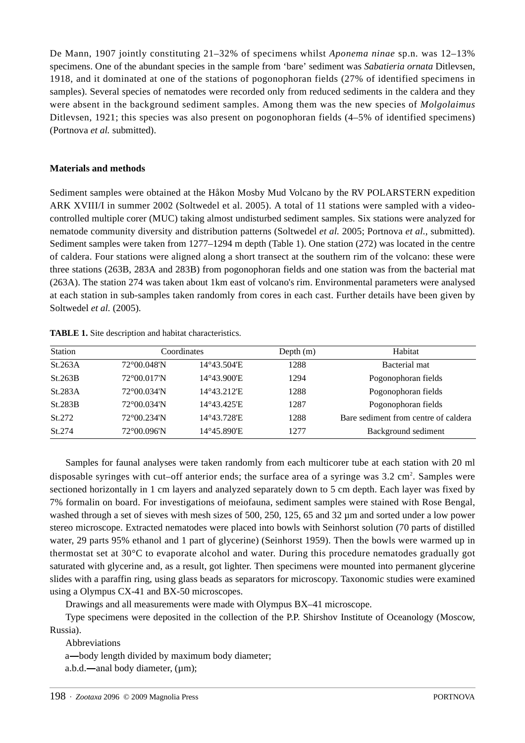De Mann, 1907 jointly constituting 21–32% of specimens whilst *Aponema ninae* sp.n*.* was 12–13% specimens. One of the abundant species in the sample from 'bare' sediment was *Sabatieria ornata* Ditlevsen, 1918, and it dominated at one of the stations of pogonophoran fields (27% of identified specimens in samples). Several species of nematodes were recorded only from reduced sediments in the caldera and they were absent in the background sediment samples. Among them was the new species of *Molgolaimus*  Ditlevsen, 1921; this species was also present on pogonophoran fields  $(4–5%$  of identified specimens) (Portnova *et al.* submitted).

# **Materials and methods**

Sediment samples were obtained at the Håkon Mosby Mud Volcano by the RV POLARSTERN expedition ARK XVIII/I in summer 2002 (Soltwedel et al. 2005). A total of 11 stations were sampled with a videocontrolled multiple corer (MUC) taking almost undisturbed sediment samples. Six stations were analyzed for nematode community diversity and distribution patterns (Soltwedel *et al.* 2005; Portnova *et al.*, submitted). Sediment samples were taken from 1277–1294 m depth (Table 1). One station (272) was located in the centre of caldera. Four stations were aligned along a short transect at the southern rim of the volcano: these were three stations (263B, 283A and 283B) from pogonophoran fields and one station was from the bacterial mat (263A). The station 274 was taken about 1km east of volcano's rim. Environmental parameters were analysed at each station in sub-samples taken randomly from cores in each cast. Further details have been given by Soltwedel *et al.* (2005).

| <b>Station</b> |             | Coordinates | Depth $(m)$ | Habitat                              |
|----------------|-------------|-------------|-------------|--------------------------------------|
| St.263A        | 72°00.048'N | 14°43.504'E | 1288        | Bacterial mat                        |
| St.263B        | 72°00.017'N | 14°43.900'E | 1294        | Pogonophoran fields                  |
| St.283A        | 72°00.034'N | 14°43.212'E | 1288        | Pogonophoran fields                  |
| St.283B        | 72°00.034'N | 14°43.425'E | 1287        | Pogonophoran fields                  |
| St.272         | 72°00.234'N | 14°43.728'E | 1288        | Bare sediment from centre of caldera |
| St.274         | 72°00.096'N | 14°45.890'E | 1277        | Background sediment                  |

**TABLE 1.** Site description and habitat characteristics.

Samples for faunal analyses were taken randomly from each multicorer tube at each station with 20 ml disposable syringes with cut–off anterior ends; the surface area of a syringe was  $3.2 \text{ cm}^2$ . Samples were sectioned horizontally in 1 cm layers and analyzed separately down to 5 cm depth. Each layer was fixed by 7% formalin on board. For investigations of meiofauna, sediment samples were stained with Rose Bengal, washed through a set of sieves with mesh sizes of 500, 250, 125, 65 and 32  $\mu$ m and sorted under a low power stereo microscope. Extracted nematodes were placed into bowls with Seinhorst solution (70 parts of distilled water, 29 parts 95% ethanol and 1 part of glycerine) (Seinhorst 1959). Then the bowls were warmed up in thermostat set at 30°C to evaporate alcohol and water. During this procedure nematodes gradually got saturated with glycerine and, as a result, got lighter. Then specimens were mounted into permanent glycerine slides with a paraffin ring, using glass beads as separators for microscopy. Taxonomic studies were examined using a Olympus CX-41 and BX-50 microscopes.

Drawings and all measurements were made with Olympus BX–41 microscope.

Type specimens were deposited in the collection of the P.P. Shirshov Institute of Oceanology (Moscow, Russia).

Abbreviations

a—body length divided by maximum body diameter;<br>a.b.d.—anal body diameter,  $(\mu m)$ ;<br> $\cdot$  *Zootaxa* 2096 © 2009 Magnolia Press

a.b.d.—anal body diameter,  $(\mu m)$ ;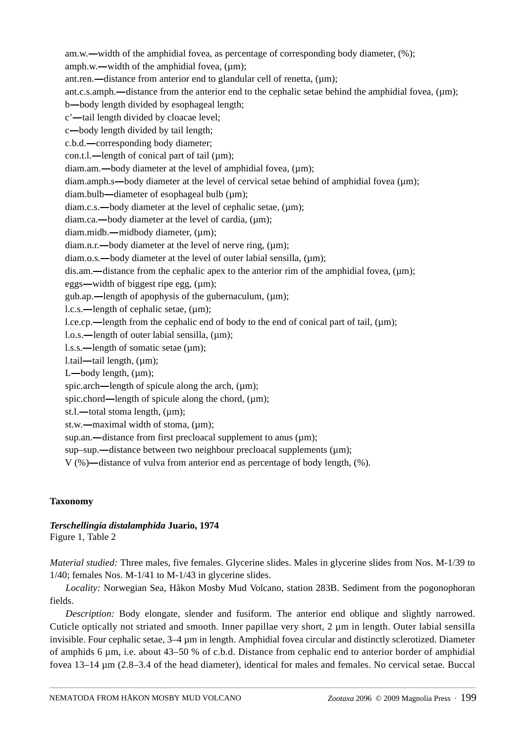am.w.—width of the amphidial fovea, as percentage of corresponding body diameter,  $(\%)$ ; —width of the amphidial fovea, as percentage of corresponding body diameter, (%);<br>w.—width of the amphidial fovea, (µm);<br>n.—distance from anterior end to glandular cell of renetta, (µm);<br>s.amph.—distance from the anterior amph.w.—width of the amphidial fovea,  $(\mu m)$ ; —width of the amphidial fovea, (µm);<br>—distance from anterior end to glandul<br>mph.—distance from the anterior end t<br>r length divided by esophageal length; ant.ren.—distance from anterior end to glandular cell of renetta, (um); —distance from anterior end to glandular cell of renetta,  $(\mu m)$ ;<br>amph.—distance from the anterior end to the cephalic setae beh<br>y length divided by esophageal length;<br>length divided by cloacae level; ant.c.s.amph.—distance from the anterior end to the cephalic setae behind the amphidial fovea, (µm);<br>b—body length divided by esophageal length;<br>c'—tail length divided by cloacae level;<br>c—body length divided by tail length b—body length divided by esophageal length; —body length divided by esophageal length;<br>'—tail length divided by cloacae level;<br>—body length divided by tail length;<br>.b.d.—corresponding body diameter; c'-tail length divided by cloacae level; —tail length divided by cloacae level;<br>—body length divided by tail length;<br>b.d.—corresponding body diameter;<br>on.t.l.—length of conical part of tail (µ c—body length divided by tail length;<br>
.b.d.—corresponding body diameter;<br>
on.t.l.—length of conical part of tail (iam.am.—body diameter at the level c.b.d.—corresponding body diameter; —corresponding body diameter;<br>1.—length of conical part of tail<br>am.—body diameter at the level<br>amph.s—body diameter at the le con.t.l.—length of conical part of tail  $(\mu m)$ ; —length of conical part of tail (µm);<br>m.—body diameter at the level of an<br>mph.s—body diameter at the level of<br>ulb—diameter of esophageal bulb (µ diam.am.—body diameter at the level of amphidial fovea, (µm);<br>ph.s—body diameter at the level of cervical setae behin<br>p—diameter of esophageal bulb (µm);<br>—body diameter at the level of cephalic setae, (µm); diam.amph.s—body diameter at the level of cervical setae behind of amphidial fovea (µm);<br>diam.bulb—diameter of esophageal bulb (µm);<br>diam.c.s.—body diameter at the level of cephalic setae, (µm);<br>diam.ca.—body diameter at t diam.bulb—diameter of esophageal bulb  $(\mu m)$ ; — diameter of esophageal bulb (µm);<br>— body diameter at the level of cephal<br>- body diameter at the level of cardia,<br>b.— midbody diameter, (µm); diam.c.s.—body diameter at the level of cephalic setae, (µm);<br>—body diameter at the level of cardia, (µm);<br>Ib.—midbody diameter, (µm);<br>—body diameter at the level of nerve ring, (µm); diam.ca.—body diameter at the level of cardia, (um); —body diameter at the level of cardia, (µm);<br>db.—midbody diameter, (µm);<br>—body diameter at the level of nerve ring, (µ<br>.—body diameter at the level of outer labial s diam.midb.—midbody diameter. (um): —midbody diameter, (µm);<br>body diameter at the level o<br>body diameter at the level c<br>stance from the cephalic ap diam.n.r.—body diameter at the level of nerve ring,  $(\mu m)$ ;<br>—body diameter at the level of outer labial sensi-<br>distance from the cephalic apex to the anterior ri<br>idth of biggest ripe egg,  $(\mu m)$ ; diam.o.s.—body diameter at the level of outer labial sensilla, (um); —body diameter at the level of outer labial sensilla,  $(\mu m)$ ;<br>-distance from the cephalic apex to the anterior rim of the idth of biggest ripe egg,  $(\mu m)$ ;<br>-length of apophysis of the gubernaculum,  $(\mu m)$ ; dis.am.—distance from the cephalic apex to the anterior rim of the amphidial fovea, (µm);<br>eggs—width of biggest ripe egg, (µm);<br>gub.ap.—length of apophysis of the gubernaculum, (µm);<br>l.c.s.—length of cephalic setae, (µm); eggs—width of biggest ripe egg, (µm); —width of biggest ripe egg, (µm);<br>ap.—length of apophysis of the gu<br>—length of cephalic setae, (µm);<br>cp.—length from the cephalic end gub.ap.—length of apophysis of the gubernaculum,  $(\mu m)$ ; —length of apophysis of the gubernaculum, (µm);<br>length of cephalic setae, (µm);<br>—length from the cephalic end of body to the end<br>length of outer labial sensilla, (µm); l.c.s.—length of cephalic setae, (µm);<br>cp.—length from the cephalic enc<br>—length of outer labial sensilla,<br>—length of somatic setae (µm); l.ce.cp.—length from the cephalic end of body to the end of conical part of tail, (µm);<br>l.o.s.—length of outer labial sensilla, (µm);<br>l.s.s.—length of somatic setae (µm);<br>l.tail—tail length, (µm); l.o.s.—length of outer labial sensilla, (µm);<br>l.s.s.—length of somatic setae (µm);<br>l.tail—tail length, (µm);<br>L—body length, (µm); l.s.s.—length of somatic setae (µm); l.s.s.—length of somatic setae (µm);<br>l.tail—tail length, (µm);<br>L—body length, (µm);<br>spic.arch—length of spicule along th l.tail—tail length,  $(\mu m)$ ; —tail length, (µm);<br>pody length, (µm);<br>arch—length of spi<br>chord—length of sp L—body length,  $(\mu m)$ ; —body length, (µm);<br>pic.arch—length of sp<br>pic.chord—length of s<br>.1.—total stoma lengt —length of spicule along the arch, (µm);<br>d—length of spicule along the chord, (µr<br>al stoma length, (µm);<br>aximal width of stoma, (µm); spic.chord—length of spicule along the chord,  $(\mu m)$ ;<br>stoma length,  $(\mu m)$ ;<br>ximal width of stoma,  $(\mu m)$ ;<br>listance from first precloacal supplement to st.l.—total stoma length, (µm); ―total stoma length, (µm); st.w.—maximal width of stoma, (µm);<br>an.—distance from first precloacal<br>sup.—distance between two neights)—distance of vulva from anteric sup.an.—distance from first precloacal supplement to anus (µm);<br>p.—distance between two neighbour precloacal supplemen<br>—distance of vulva from anterior end as percentage of bod sup–sup.—distance between two neighbour precloacal supplements ( $\mu$ m); —distance between two neighbour precloacal supplements ( $\mu$ m);<br>distance of vulva from anterior end as percentage of body length, V (%)—distance of vulva from anterior end as percentage of body length, (%).<br> **onomy** 

# **Taxonomy**

### *Terschellingia distalamphida* **Juario, 1974** Figure 1, Table 2

*Material studied:* Three males, five females. Glycerine slides. Males in glycerine slides from Nos. M-1/39 to 1/40; females Nos. M-1/41 to M-1/43 in glycerine slides.

*Locality:* Norwegian Sea, Håkon Mosby Mud Volcano, station 283B. Sediment from the pogonophoran fields.

*Description:* Body elongate, slender and fusiform. The anterior end oblique and slightly narrowed. Cuticle optically not striated and smooth. Inner papillae very short, 2 µm in length. Outer labial sensilla invisible. Four cephalic setae, 3–4 µm in length. Amphidial fovea circular and distinctly sclerotized. Diameter of amphids 6 µm, i.e. about 43–50 % of c.b.d. Distance from cephalic end to anterior border of amphidial fovea 13–14 µm (2.8–3.4 of the head diameter), identical for males and females. No cervical setae. Buccal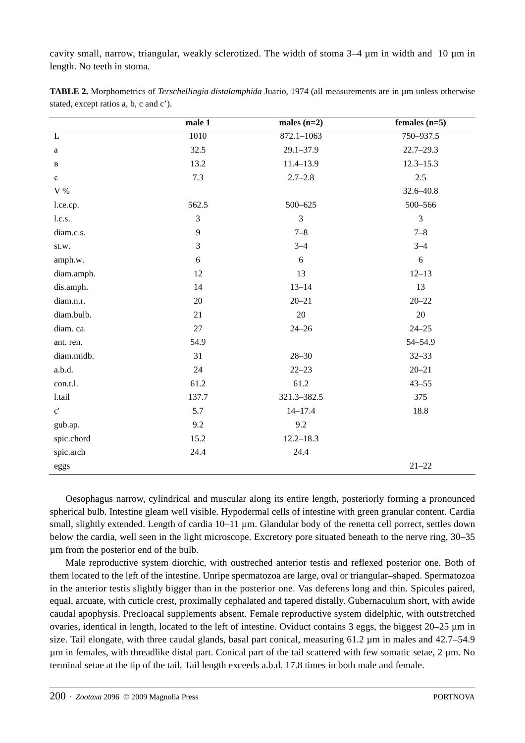cavity small, narrow, triangular, weakly sclerotized. The width of stoma 3–4 µm in width and 10 µm in length. No teeth in stoma.

|                       | male $\overline{1}$ | males $(n=2)$  | females $(n=5)$ |
|-----------------------|---------------------|----------------|-----------------|
| $\mathbf L$           | 1010                | $872.1 - 1063$ | 750-937.5       |
| $\rm{a}$              | 32.5                | $29.1 - 37.9$  | $22.7 - 29.3$   |
| $\, {\bf B}$          | 13.2                | 11.4-13.9      | $12.3 - 15.3$   |
| $\mathbf{c}$          | 7.3                 | $2.7 - 2.8$    | 2.5             |
| $\rm V$ %             |                     |                | 32.6-40.8       |
| l.ce.cp.              | 562.5               | $500 - 625$    | 500-566         |
| l.c.s.                | 3                   | $\overline{3}$ | $\overline{3}$  |
| diam.c.s.             | 9                   | $7 - 8$        | $7 - 8$         |
| st.w.                 | 3                   | $3 - 4$        | $3 - 4$         |
| amph.w.               | 6                   | 6              | 6               |
| diam.amph.            | 12                  | 13             | $12 - 13$       |
| dis.amph.             | 14                  | $13 - 14$      | 13              |
| diam.n.r.             | $20\,$              | $20 - 21$      | $20 - 22$       |
| diam.bulb.            | 21                  | $20\,$         | 20              |
| diam. ca.             | 27                  | $24 - 26$      | $24 - 25$       |
| ant. ren.             | 54.9                |                | 54-54.9         |
| diam.midb.            | 31                  | $28 - 30$      | $32 - 33$       |
| a.b.d.                | 24                  | $22 - 23$      | $20 - 21$       |
| con.t.l.              | 61.2                | 61.2           | $43 - 55$       |
| 1.tail                | 137.7               | 321.3-382.5    | 375             |
| $\mathbf{c}^{\prime}$ | 5.7                 | $14 - 17.4$    | 18.8            |
| gub.ap.               | 9.2                 | 9.2            |                 |
| spic.chord            | 15.2                | $12.2 - 18.3$  |                 |
| spic.arch             | 24.4                | 24.4           |                 |
| eggs                  |                     |                | $21 - 22$       |

**TABLE 2.** Morphometrics of *Terschellingia distalamphida* Juario, 1974 (all measurements are in µm unless otherwise stated, except ratios a, b, c and c').

Oesophagus narrow, cylindrical and muscular along its entire length, posteriorly forming a pronounced spherical bulb. Intestine gleam well visible. Hypodermal cells of intestine with green granular content. Cardia small, slightly extended. Length of cardia 10–11  $\mu$ m. Glandular body of the renetta cell porrect, settles down below the cardia, well seen in the light microscope. Excretory pore situated beneath to the nerve ring, 30–35 µm from the posterior end of the bulb.

Male reproductive system diorchic, with oustreched anterior testis and reflexed posterior one. Both of them located to the left of the intestine. Unripe spermatozoa are large, oval or triangular–shaped. Spermatozoa in the anterior testis slightly bigger than in the posterior one. Vas deferens long and thin. Spicules paired, equal, arcuate, with cuticle crest, proximally cephalated and tapered distally. Gubernaculum short, with awide caudal apophysis. Precloacal supplements absent. Female reproductive system didelphic, with outstretched ovaries, identical in length, located to the left of intestine. Oviduct contains  $\overline{3}$  eggs, the biggest  $20-25 \,\mu m$  in size. Tail elongate, with three caudal glands, basal part conical, measuring 61.2  $\mu$ m in males and 42.7–54.9 µm in females, with threadlike distal part. Conical part of the tail scattered with few somatic setae, 2 µm. No terminal setae at the tip of the tail. Tail length exceeds a.b.d. 17.8 times in both male and female.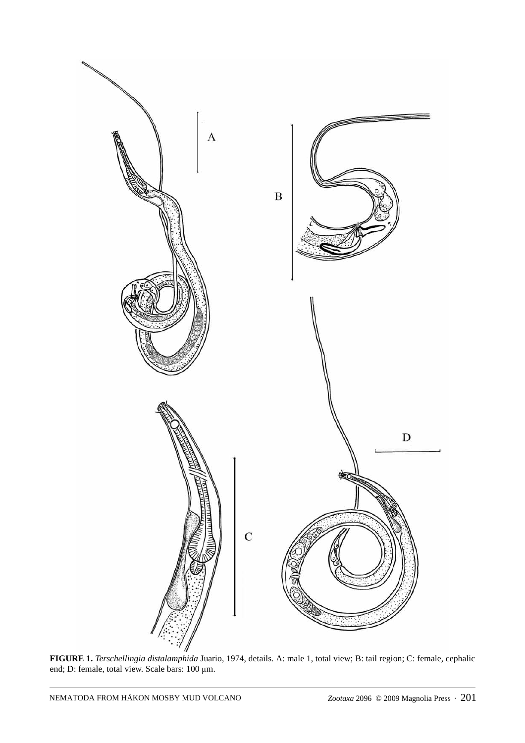

**FIGURE 1.** *Terschellingia distalamphida* Juario, 1974, details. A: male 1, total view; B: tail region; C: female, cephalic end; D: female, total view. Scale bars: 100 μm.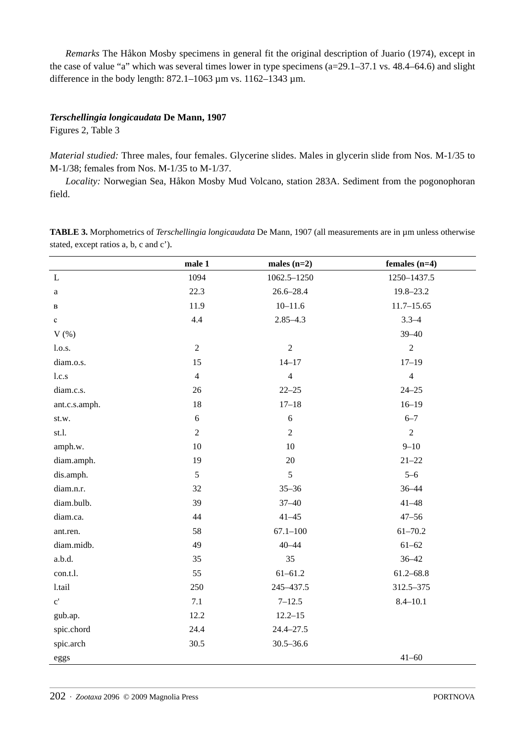*Remarks* The Håkon Mosby specimens in general fit the original description of Juario (1974), except in the case of value "a" which was several times lower in type specimens (a=29.1–37.1 vs. 48.4–64.6) and slight difference in the body length:  $872.1 - 1063 \,\mu m$  vs.  $1162 - 1343 \,\mu m$ .

## *Terschellingia longicaudata* **De Mann, 1907**

Figures 2, Table 3

*Material studied:* Three males, four females. Glycerine slides. Males in glycerin slide from Nos. M-1/35 to M-1/38; females from Nos. M-1/35 to M-1/37.

*Locality:* Norwegian Sea, Håkon Mosby Mud Volcano, station 283A. Sediment from the pogonophoran field.

male 1 males (n=2) females (n=4) L 1062.5–1250 1250–1437.5 a 22.3 26.6–28.4 19.8–23.2  $11.9$  10–11.6 11.7–15.65 c 4.4  $2.85-4.3$  3.3-4  $V$  (%) 39–40 l.o.s. 2 2 2 2 2 diam.o.s. 15 14–17 17–19 l.c.s  $4 \t 4 \t 4$ diam.c.s. 26 22–25 24–25 ant.c.s.amph. 18 18 17–18 16–19 st.w. 6 6 6–7 st.l. 2 2 2 2 amph.w. 10 10 9–10 diam.amph. 19 20 21–22 dis.amph.  $5\qquad 5\qquad 5\qquad 5$ diam.n.r. 32 33–36 36–44 diam.bulb. 39 37–40 41–48 diam.ca.  $44 \times 41-45 \times 47-56$ ant.ren. 61–70.2 **58** 67.1–100 61–70.2 diam.midb.  $49 \t\t 40-44 \t\t 61-62$ a.b.d. 35 36–42 con.t.l. 61–61.2 61.2–68.8 l.tail 250 245–437.5 312.5–375 c'  $7.1$   $7-12.5$   $8.4-10.1$ gub.ap. 12.2 12.2–15 spic.chord 24.4 24.4–27.5 spic.arch 30.5 30.5–36.6 eggs  $41-60$ 

**TABLE 3.** Morphometrics of *Terschellingia longicaudata* De Mann, 1907 (all measurements are in µm unless otherwise stated, except ratios a, b, c and c').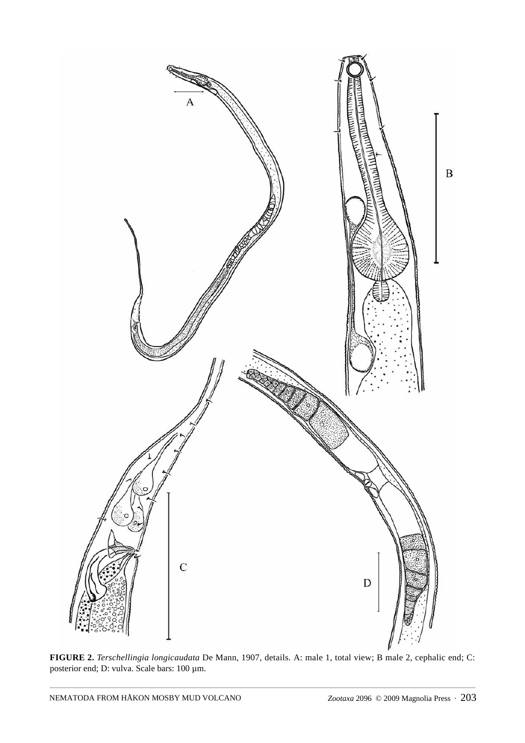

**FIGURE 2.** *Terschellingia longicaudata* De Mann, 1907, details. A: male 1, total view; B male 2, cephalic end; C: posterior end; D: vulva. Scale bars: 100 µm.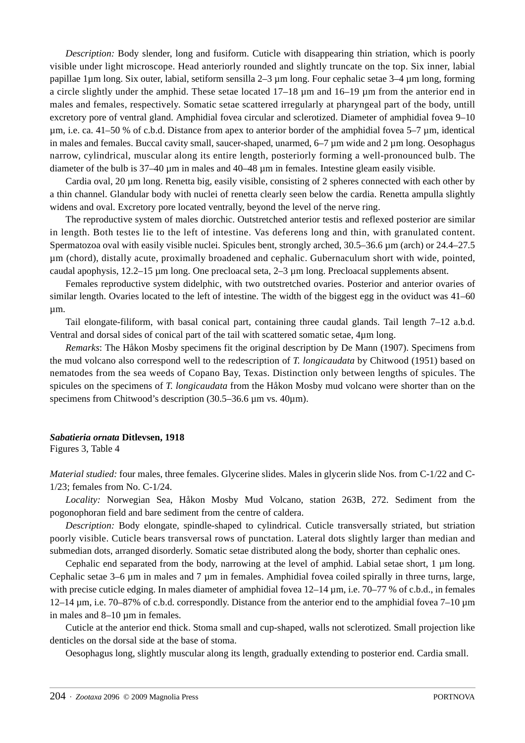*Description:* Body slender, long and fusiform. Cuticle with disappearing thin striation, which is poorly visible under light microscope. Head anteriorly rounded and slightly truncate on the top. Six inner, labial papillae 1µm long. Six outer, labial, setiform sensilla 2–3 µm long. Four cephalic setae 3–4 µm long, forming a circle slightly under the amphid. These setae located 17–18 µm and 16–19 µm from the anterior end in males and females, respectively. Somatic setae scattered irregularly at pharyngeal part of the body, untill excretory pore of ventral gland. Amphidial fovea circular and sclerotized. Diameter of amphidial fovea 9–10 µm, i.e. ca. 41–50 % of c.b.d. Distance from apex to anterior border of the amphidial fovea 5–7 µm, identical in males and females. Buccal cavity small, saucer-shaped, unarmed, 6–7 µm wide and 2 µm long. Oesophagus narrow, cylindrical, muscular along its entire length, posteriorly forming a well-pronounced bulb. The diameter of the bulb is 37–40 µm in males and 40–48 µm in females. Intestine gleam easily visible.

Cardia oval, 20 µm long. Renetta big, easily visible, consisting of 2 spheres connected with each other by a thin channel. Glandular body with nuclei of renetta clearly seen below the cardia. Renetta ampulla slightly widens and oval. Excretory pore located ventrally, beyond the level of the nerve ring.

The reproductive system of males diorchic. Outstretched anterior testis and reflexed posterior are similar in length. Both testes lie to the left of intestine. Vas deferens long and thin, with granulated content. Spermatozoa oval with easily visible nuclei. Spicules bent, strongly arched, 30.5–36.6 µm (arch) or 24.4–27.5 µm (chord), distally acute, proximally broadened and cephalic. Gubernaculum short with wide, pointed, caudal apophysis, 12.2–15 µm long. One precloacal seta, 2–3 µm long. Precloacal supplements absent.

Females reproductive system didelphic, with two outstretched ovaries. Posterior and anterior ovaries of similar length. Ovaries located to the left of intestine. The width of the biggest egg in the oviduct was 41–60 µm.

Tail elongate-filiform, with basal conical part, containing three caudal glands. Tail length 7–12 a.b.d. Ventral and dorsal sides of conical part of the tail with scattered somatic setae, 4µm long.

*Remarks*: The Håkon Mosby specimens fit the original description by De Mann (1907). Specimens from the mud volcano also correspond well to the redescription of *T. longicaudata* by Chitwood (1951) based on nematodes from the sea weeds of Copano Bay, Texas. Distinction only between lengths of spicules. The spicules on the specimens of *T. longicaudata* from the Håkon Mosby mud volcano were shorter than on the specimens from Chitwood's description (30.5–36.6 µm vs. 40µm).

#### *Sabatieria ornata* **Ditlevsen, 1918**

Figures 3, Table 4

*Material studied:* four males, three females. Glycerine slides. Males in glycerin slide Nos. from C-1/22 and C-1/23; females from No. C-1/24.

*Locality:* Norwegian Sea, Håkon Mosby Mud Volcano, station 263B, 272. Sediment from the pogonophoran field and bare sediment from the centre of caldera.

*Description:* Body elongate, spindle-shaped to cylindrical. Cuticle transversally striated, but striation poorly visible. Cuticle bears transversal rows of punctation. Lateral dots slightly larger than median and submedian dots, arranged disorderly. Somatic setae distributed along the body, shorter than cephalic ones.

Cephalic end separated from the body, narrowing at the level of amphid. Labial setae short, 1 µm long. Cephalic setae 3–6 um in males and 7 um in females. Amphidial fovea coiled spirally in three turns, large, with precise cuticle edging. In males diameter of amphidial fovea  $12-14 \,\mu m$ , i.e.  $70-77 \%$  of c.b.d., in females  $12-14 \,\mu$ m, i.e. 70–87% of c.b.d. correspondly. Distance from the anterior end to the amphidial fovea 7–10  $\mu$ m in males and 8–10 um in females.

Cuticle at the anterior end thick. Stoma small and cup-shaped, walls not sclerotized. Small projection like denticles on the dorsal side at the base of stoma.

Oesophagus long, slightly muscular along its length, gradually extending to posterior end. Cardia small.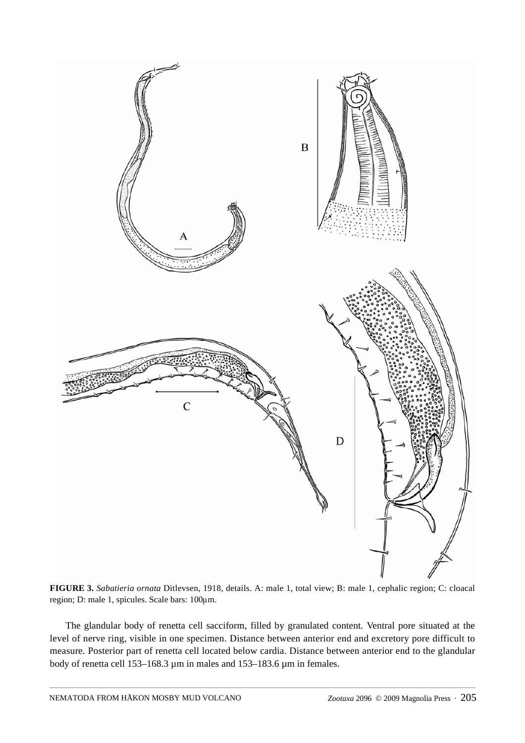

**FIGURE 3.** *Sabatieria ornata* Ditlevsen, 1918, details. A: male 1, total view; B: male 1, cephalic region; C: cloacal region; D: male 1, spicules. Scale bars: 100μm.

The glandular body of renetta cell sacciform, filled by granulated content. Ventral pore situated at the level of nerve ring, visible in one specimen. Distance between anterior end and excretory pore difficult to measure. Posterior part of renetta cell located below cardia. Distance between anterior end to the glandular body of renetta cell 153–168.3 µm in males and 153–183.6 µm in females.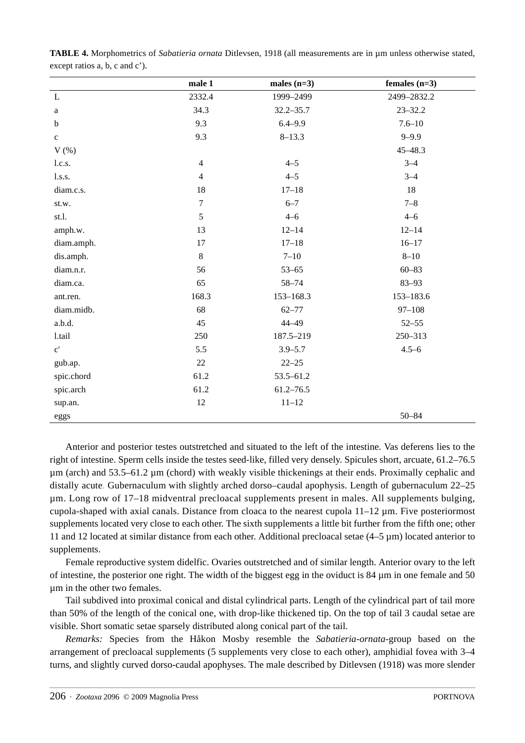|                       | male 1           | males $(n=3)$ | females $(n=3)$ |
|-----------------------|------------------|---------------|-----------------|
| $\mathbf L$           | 2332.4           | 1999-2499     | 2499-2832.2     |
| $\rm{a}$              | 34.3             | $32.2 - 35.7$ | $23 - 32.2$     |
| $\mathbf b$           | 9.3              | $6.4 - 9.9$   | $7.6 - 10$      |
| $\mathbf c$           | 9.3              | $8 - 13.3$    | $9 - 9.9$       |
| $V$ $(\%)$            |                  |               | 45-48.3         |
| l.c.s.                | $\overline{4}$   | $4 - 5$       | $3 - 4$         |
| 1.s.s.                | $\overline{4}$   | $4 - 5$       | $3 - 4$         |
| diam.c.s.             | 18               | $17 - 18$     | 18              |
| st.w.                 | $\boldsymbol{7}$ | $6 - 7$       | $7 - 8$         |
| st.l.                 | $\sqrt{5}$       | $4 - 6$       | $4 - 6$         |
| amph.w.               | 13               | $12 - 14$     | $12 - 14$       |
| diam.amph.            | 17               | $17 - 18$     | $16 - 17$       |
| dis.amph.             | 8                | $7 - 10$      | $8 - 10$        |
| diam.n.r.             | 56               | $53 - 65$     | $60 - 83$       |
| diam.ca.              | 65               | 58-74         | $83 - 93$       |
| ant.ren.              | 168.3            | 153-168.3     | 153-183.6       |
| diam.midb.            | 68               | $62 - 77$     | $97 - 108$      |
| a.b.d.                | 45               | 44-49         | $52 - 55$       |
| 1.tail                | 250              | 187.5-219     | 250-313         |
| $\mathbf{c}^{\prime}$ | 5.5              | $3.9 - 5.7$   | $4.5 - 6$       |
| gub.ap.               | 22               | $22 - 25$     |                 |
| spic.chord            | 61.2             | 53.5-61.2     |                 |
| spic.arch             | 61.2             | $61.2 - 76.5$ |                 |
| sup.an.               | 12               | $11 - 12$     |                 |
| eggs                  |                  |               | $50 - 84$       |

**TABLE 4.** Morphometrics of *Sabatieria ornata* Ditlevsen, 1918 (all measurements are in µm unless otherwise stated, except ratios a, b, c and c').

Anterior and posterior testes outstretched and situated to the left of the intestine. Vas deferens lies to the right of intestine. Sperm cells inside the testes seed-like, filled very densely. Spicules short, arcuate, 61.2–76.5 µm (arch) and 53.5–61.2 µm (chord) with weakly visible thickenings at their ends. Proximally cephalic and distally acute. Gubernaculum with slightly arched dorso–caudal apophysis. Length of gubernaculum 22–25 µm. Long row of 17–18 midventral precloacal supplements present in males. All supplements bulging, cupola-shaped with axial canals. Distance from cloaca to the nearest cupola 11–12 µm. Five posteriormost supplements located very close to each other. The sixth supplements a little bit further from the fifth one; other 11 and 12 located at similar distance from each other. Additional precloacal setae (4–5 µm) located anterior to supplements.

Female reproductive system didelfic. Ovaries outstretched and of similar length. Anterior ovary to the left of intestine, the posterior one right. The width of the biggest egg in the oviduct is  $84 \mu m$  in one female and 50 µm in the other two females.

Tail subdived into proximal conical and distal cylindrical parts. Length of the cylindrical part of tail more than 50% of the length of the conical one, with drop-like thickened tip. On the top of tail 3 caudal setae are visible. Short somatic setae sparsely distributed along conical part of the tail.

*Remarks:* Species from the Håkon Mosby resemble the *Sabatieria-ornata-*group based on the arrangement of precloacal supplements (5 supplements very close to each other), amphidial fovea with 3–4 turns, and slightly curved dorso-caudal apophyses. The male described by Ditlevsen (1918) was more slender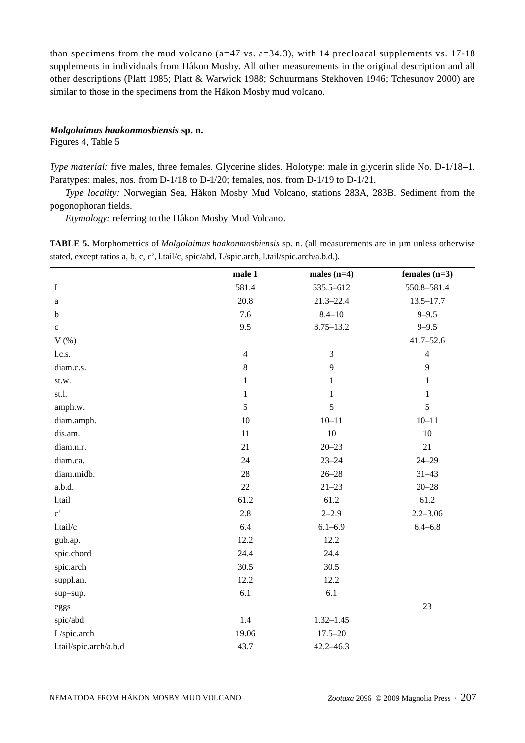than specimens from the mud volcano ( $a=47$  vs.  $a=34.3$ ), with 14 precloacal supplements vs. 17-18 supplements in individuals from Håkon Mosby. All other measurements in the original description and all other descriptions (Platt 1985; Platt & Warwick 1988; Schuurmans Stekhoven 1946; Tchesunov 2000) are similar to those in the specimens from the Håkon Mosby mud volcano.

## *Molgolaimus haakonmosbiensis* **sp. n.**

Figures 4, Table 5

*Type material:* five males, three females. Glycerine slides. Holotype: male in glycerin slide No. D-1/18–1. Paratypes: males, nos. from D-1/18 to D-1/20; females, nos. from D-1/19 to D-1/21.

*Type locality:* Norwegian Sea, Håkon Mosby Mud Volcano, stations 283A, 283B. Sediment from the pogonophoran fields.

*Etymology:* referring to the Håkon Mosby Mud Volcano.

**TABLE 5.** Morphometrics of *Molgolaimus haakonmosbiensis* sp. n. (all measurements are in µm unless otherwise stated, except ratios a, b, c, c', l.tail/c, spic/abd, L/spic.arch, l.tail/spic.arch/a.b.d.).

|                        | male 1         | males $(n=4)$  | females $(n=3)$ |
|------------------------|----------------|----------------|-----------------|
| L                      | 581.4          | 535.5-612      | 550.8-581.4     |
| a                      | 20.8           | $21.3 - 22.4$  | $13.5 - 17.7$   |
| $\bf b$                | 7.6            | $8.4 - 10$     | $9 - 9.5$       |
| $\mathbf c$            | 9.5            | $8.75 - 13.2$  | $9 - 9.5$       |
| $V$ $(\%)$             |                |                | $41.7 - 52.6$   |
| l.c.s.                 | $\overline{4}$ | $\mathfrak{Z}$ | $\overline{4}$  |
| diam.c.s.              | 8              | $\mathbf{9}$   | 9               |
| st.w.                  | $\mathbf{1}$   | $\mathbf{1}$   | $\mathbf{1}$    |
| st.1.                  | $\mathbf{1}$   | $\mathbf{1}$   | $\mathbf{1}$    |
| amph.w.                | $\sqrt{5}$     | 5              | 5               |
| diam.amph.             | 10             | $10 - 11$      | $10 - 11$       |
| dis.am.                | 11             | $10\,$         | 10              |
| diam.n.r.              | 21             | $20 - 23$      | 21              |
| diam.ca.               | 24             | $23 - 24$      | $24 - 29$       |
| diam.midb.             | 28             | $26 - 28$      | $31 - 43$       |
| a.b.d.                 | 22             | $21 - 23$      | $20 - 28$       |
| 1.tail                 | 61.2           | 61.2           | 61.2            |
| $\mathbf{c}^{\prime}$  | 2.8            | $2 - 2.9$      | $2.2 - 3.06$    |
| l.tail/c               | 6.4            | $6.1 - 6.9$    | $6.4 - 6.8$     |
| gub.ap.                | 12.2           | 12.2           |                 |
| spic.chord             | 24.4           | 24.4           |                 |
| spic.arch              | 30.5           | 30.5           |                 |
| suppl.an.              | 12.2           | 12.2           |                 |
| sup-sup.               | 6.1            | 6.1            |                 |
| eggs                   |                |                | 23              |
| spic/abd               | 1.4            | $1.32 - 1.45$  |                 |
| L/spic.arch            | 19.06          | $17.5 - 20$    |                 |
| l.tail/spic.arch/a.b.d | 43.7           | 42.2-46.3      |                 |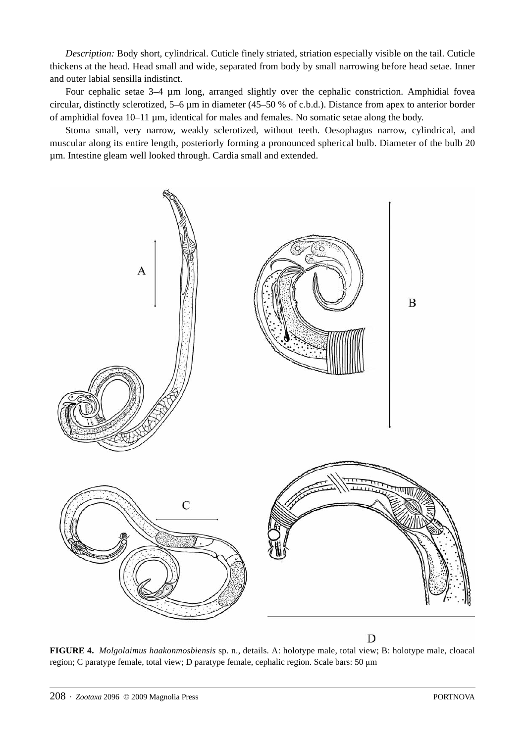*Description:* Body short, cylindrical. Cuticle finely striated, striation especially visible on the tail. Cuticle thickens at the head. Head small and wide, separated from body by small narrowing before head setae. Inner and outer labial sensilla indistinct.

Four cephalic setae 3–4 µm long, arranged slightly over the cephalic constriction. Amphidial fovea circular, distinctly sclerotized, 5–6 µm in diameter (45–50 % of c.b.d.). Distance from apex to anterior border of amphidial fovea 10–11 µm, identical for males and females. No somatic setae along the body.

Stoma small, very narrow, weakly sclerotized, without teeth. Oesophagus narrow, cylindrical, and muscular along its entire length, posteriorly forming a pronounced spherical bulb. Diameter of the bulb 20 µm. Intestine gleam well looked through. Cardia small and extended.



D

**FIGURE 4.** *Molgolaimus haakonmosbiensis* sp. n., details. A: holotype male, total view; B: holotype male, cloacal region; C paratype female, total view; D paratype female, cephalic region. Scale bars: 50 μ<sup>m</sup>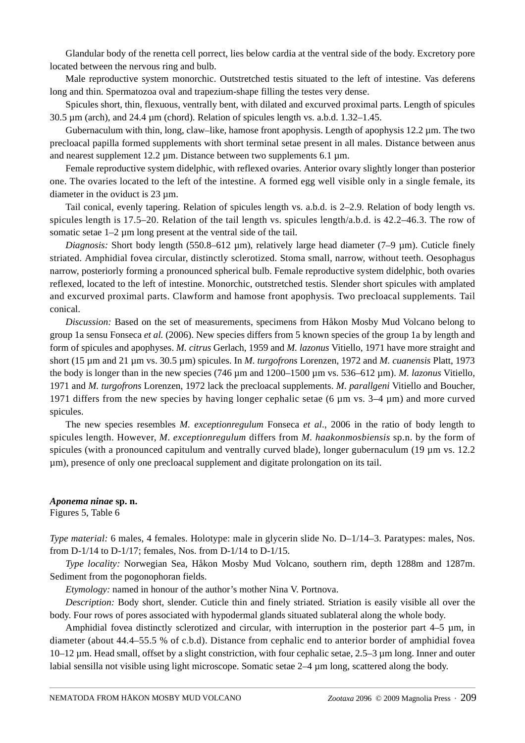Glandular body of the renetta cell porrect, lies below cardia at the ventral side of the body. Excretory pore located between the nervous ring and bulb.

Male reproductive system monorchic. Outstretched testis situated to the left of intestine. Vas deferens long and thin. Spermatozoa oval and trapezium-shape filling the testes very dense.

Spicules short, thin, flexuous, ventrally bent, with dilated and excurved proximal parts. Length of spicules 30.5  $\mu$ m (arch), and 24.4  $\mu$ m (chord). Relation of spicules length vs. a.b.d. 1.32–1.45.

Gubernaculum with thin, long, claw–like, hamose front apophysis. Length of apophysis 12.2 µm. The two precloacal papilla formed supplements with short terminal setae present in all males. Distance between anus and nearest supplement 12.2 µm. Distance between two supplements 6.1 µm.

Female reproductive system didelphic, with reflexed ovaries. Anterior ovary slightly longer than posterior one. The ovaries located to the left of the intestine. A formed egg well visible only in a single female, its diameter in the oviduct is 23 µm.

Tail conical, evenly tapering. Relation of spicules length vs. a.b.d. is 2–2.9. Relation of body length vs. spicules length is 17.5–20. Relation of the tail length vs. spicules length/a.b.d. is 42.2–46.3. The row of somatic setae  $1-2 \mu m$  long present at the ventral side of the tail.

*Diagnosis:* Short body length (550.8–612 µm), relatively large head diameter (7–9 µm). Cuticle finely striated. Amphidial fovea circular, distinctly sclerotized. Stoma small, narrow, without teeth. Oesophagus narrow, posteriorly forming a pronounced spherical bulb. Female reproductive system didelphic, both ovaries reflexed, located to the left of intestine. Monorchic, outstretched testis. Slender short spicules with amplated and excurved proximal parts. Clawform and hamose front apophysis. Two precloacal supplements. Tail conical.

*Discussion:* Based on the set of measurements, specimens from Håkon Mosby Mud Volcano belong to group 1a sensu Fonseca *et al.* (2006). New species differs from 5 known species of the group 1a by length and form of spicules and apophyses. *M. citrus* Gerlach, 1959 and *M. lazonus* Vitiello, 1971 have more straight and short (15 µm and 21 µm vs. 30.5 µm) spicules. In *M. turgofrons* Lorenzen, 1972 and *M. cuanensis* Platt, 1973 the body is longer than in the new species (746 µm and 1200–1500 µm vs. 536–612 µm). *M. lazonus* Vitiello, 1971 and *M. turgofrons* Lorenzen, 1972 lack the precloacal supplements. *M. parallgeni* Vitiello and Boucher, 1971 differs from the new species by having longer cephalic setae (6  $\mu$ m vs. 3–4  $\mu$ m) and more curved spicules.

The new species resembles *M. exceptionregulum* Fonseca *et al*., 2006 in the ratio of body length to spicules length. However, *M. exceptionregulum* differs from *M. haakonmosbiensis* sp.n. by the form of spicules (with a pronounced capitulum and ventrally curved blade), longer gubernaculum (19 µm vs. 12.2) µm), presence of only one precloacal supplement and digitate prolongation on its tail.

*Aponema ninae* **sp. n.**

Figures 5, Table 6

*Type material:* 6 males, 4 females. Holotype: male in glycerin slide No. D–1/14–3. Paratypes: males, Nos. from D-1/14 to D-1/17; females, Nos. from D-1/14 to D-1/15.

*Type locality:* Norwegian Sea, Håkon Mosby Mud Volcano, southern rim, depth 1288m and 1287m. Sediment from the pogonophoran fields.

*Etymology:* named in honour of the author's mother Nina V. Portnova.

*Description:* Body short, slender. Cuticle thin and finely striated. Striation is easily visible all over the body. Four rows of pores associated with hypodermal glands situated sublateral along the whole body.

Amphidial fovea distinctly sclerotized and circular, with interruption in the posterior part 4–5  $\mu$ m, in diameter (about 44.4–55.5 % of c.b.d). Distance from cephalic end to anterior border of amphidial fovea 10–12 µm. Head small, offset by a slight constriction, with four cephalic setae, 2.5–3 µm long. Inner and outer labial sensilla not visible using light microscope. Somatic setae 2–4 µm long, scattered along the body.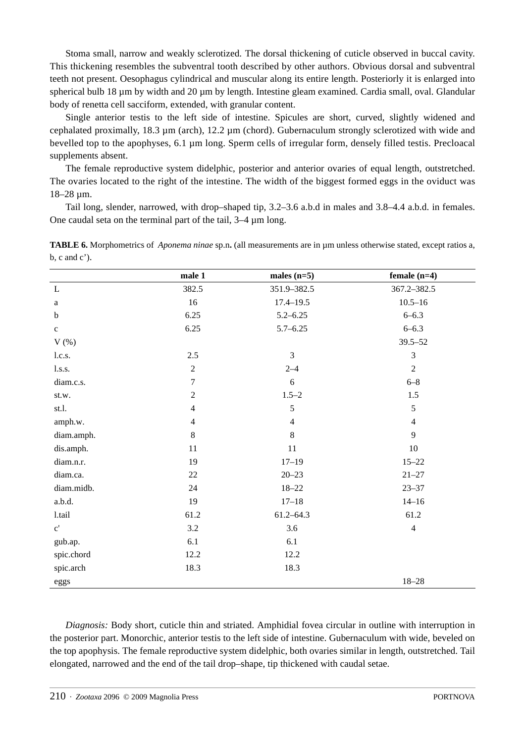Stoma small, narrow and weakly sclerotized. The dorsal thickening of cuticle observed in buccal cavity. This thickening resembles the subventral tooth described by other authors. Obvious dorsal and subventral teeth not present. Oesophagus cylindrical and muscular along its entire length. Posteriorly it is enlarged into spherical bulb 18 µm by width and 20 µm by length. Intestine gleam examined. Cardia small, oval. Glandular body of renetta cell sacciform, extended, with granular content.

Single anterior testis to the left side of intestine. Spicules are short, curved, slightly widened and cephalated proximally, 18.3 µm (arch), 12.2 µm (chord). Gubernaculum strongly sclerotized with wide and bevelled top to the apophyses, 6.1 µm long. Sperm cells of irregular form, densely filled testis. Precloacal supplements absent.

The female reproductive system didelphic, posterior and anterior ovaries of equal length, outstretched. The ovaries located to the right of the intestine. The width of the biggest formed eggs in the oviduct was 18–28 µm.

Tail long, slender, narrowed, with drop–shaped tip, 3.2–3.6 a.b.d in males and 3.8–4.4 a.b.d. in females. One caudal seta on the terminal part of the tail, 3–4 µm long.

**TABLE 6.** Morphometrics of *Aponema ninae* sp.n. (all measurements are in µm unless otherwise stated, except ratios a,  $b, c \text{ and } c'$ ).

|                       | male 1         | males $(n=5)$  | female $(n=4)$ |
|-----------------------|----------------|----------------|----------------|
| $\mathbf L$           | 382.5          | 351.9-382.5    | 367.2-382.5    |
| a                     | 16             | $17.4 - 19.5$  | $10.5 - 16$    |
| $\mathbf b$           | 6.25           | $5.2 - 6.25$   | $6 - 6.3$      |
| $\mathbf c$           | 6.25           | $5.7 - 6.25$   | $6 - 6.3$      |
| $V$ $(\%)$            |                |                | $39.5 - 52$    |
| 1.c.s.                | 2.5            | $\overline{3}$ | $\mathfrak{Z}$ |
| 1.s.s.                | $\overline{2}$ | $2 - 4$        | $\sqrt{2}$     |
| diam.c.s.             | $\overline{7}$ | $\sqrt{6}$     | $6 - 8$        |
| st.w.                 | $\overline{2}$ | $1.5 - 2$      | 1.5            |
| st.l.                 | $\overline{4}$ | 5              | $5\,$          |
| amph.w.               | $\overline{4}$ | $\overline{4}$ | $\overline{4}$ |
| diam.amph.            | 8              | $\,8\,$        | 9              |
| dis.amph.             | 11             | 11             | $10\,$         |
| diam.n.r.             | 19             | $17 - 19$      | $15 - 22$      |
| diam.ca.              | 22             | $20 - 23$      | $21 - 27$      |
| diam.midb.            | 24             | $18 - 22$      | $23 - 37$      |
| a.b.d.                | 19             | $17 - 18$      | $14 - 16$      |
| 1.tail                | 61.2           | $61.2 - 64.3$  | 61.2           |
| $\mathbf{c}^{\prime}$ | 3.2            | 3.6            | $\overline{4}$ |
| gub.ap.               | 6.1            | 6.1            |                |
| spic.chord            | 12.2           | 12.2           |                |
| spic.arch             | 18.3           | 18.3           |                |
| eggs                  |                |                | $18 - 28$      |

*Diagnosis:* Body short, cuticle thin and striated. Amphidial fovea circular in outline with interruption in the posterior part. Monorchic, anterior testis to the left side of intestine. Gubernaculum with wide, beveled on the top apophysis. The female reproductive system didelphic, both ovaries similar in length, outstretched. Tail elongated, narrowed and the end of the tail drop–shape, tip thickened with caudal setae.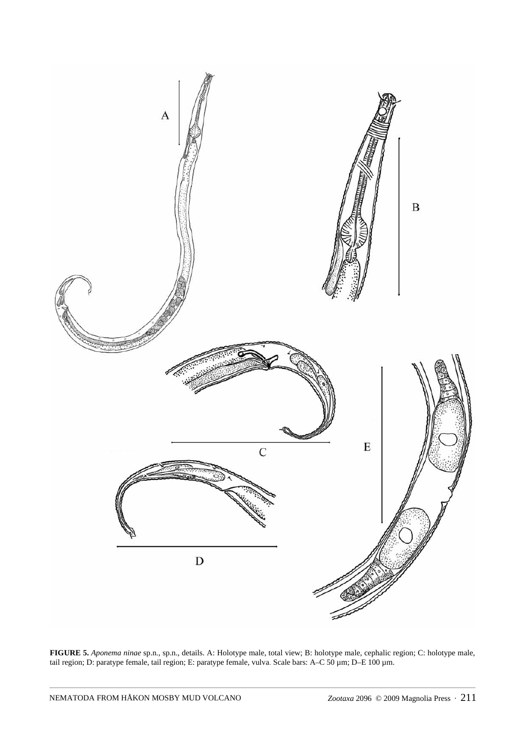

**FIGURE 5.** *Aponema ninae* sp.n., sp.n., details. A: Holotype male, total view; B: holotype male, cephalic region; C: holotype male, tail region; D: paratype female, tail region; E: paratype female, vulva. Scale bars: A–C 50 µm; D–E 100 µm.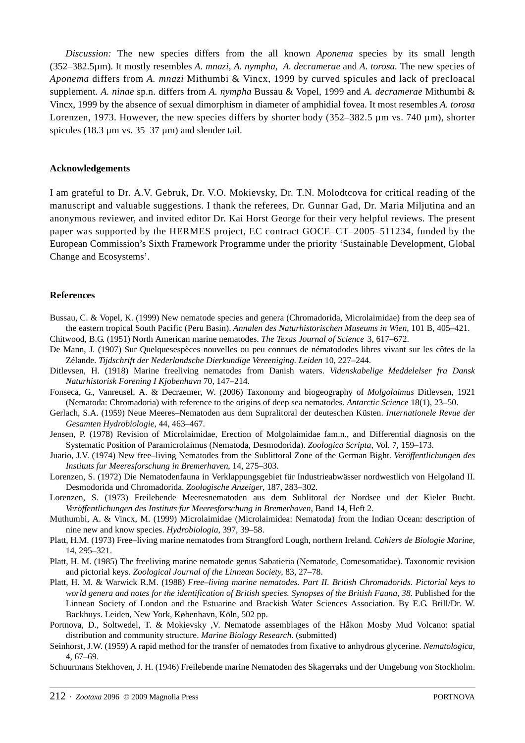*Discussion:* The new species differs from the all known *Aponema* species by its small length (352–382.5µm). It mostly resembles *A. mnazi*, *A. nympha*, *A. decramerae* and *A. torosa.* The new species of *Aponema* differs from *A. mnazi* Mithumbi & Vincx, 1999 by curved spicules and lack of precloacal supplement. *A. ninae* sp.n. differs from *A. nympha* Bussau & Vopel, 1999 and *A. decramerae* Mithumbi & Vincx, 1999 by the absence of sexual dimorphism in diameter of amphidial fovea. It most resembles *A. torosa* Lorenzen, 1973. However, the new species differs by shorter body (352–382.5  $\mu$ m vs. 740  $\mu$ m), shorter spicules (18.3  $\mu$ m vs. 35–37  $\mu$ m) and slender tail.

### **Acknowledgements**

I am grateful to Dr. A.V. Gebruk, Dr. V.O. Mokievsky, Dr. T.N. Molodtcova for critical reading of the manuscript and valuable suggestions. I thank the referees, Dr. Gunnar Gad, Dr. Maria Miljutina and an anonymous reviewer, and invited editor Dr. Kai Horst George for their very helpful reviews. The present paper was supported by the HERMES project, EC contract GOCE–CT–2005–511234, funded by the European Commission's Sixth Framework Programme under the priority 'Sustainable Development, Global Change and Ecosystems'.

#### **References**

- Bussau, C. & Vopel, K. (1999) New nematode species and genera (Chromadorida, Microlaimidae) from the deep sea of the eastern tropical South Pacific (Peru Basin). *Annalen des Naturhistorischen Museums in Wien*, 101 B, 405–421.
- Chitwood, B.G. (1951) North American marine nematodes. *The Texas Journal of Science* 3, 617–672.
- De Mann, J. (1907) Sur Quelquesespèces nouvelles ou peu connues de nématododes libres vivant sur les côtes de la Zélande. *Tijdschrift der Nederlandsche Dierkundige Vereeniging. Leiden* 10, 227–244.
- Ditlevsen, H. (1918) Marine freeliving nematodes from Danish waters. *Videnskabelige Meddelelser fra Dansk Naturhistorisk Forening I Kjobenhavn* 70, 147–214.
- Fonseca, G., Vanreusel, A. & Decraemer, W. (2006) Taxonomy and biogeography of *Molgolaimus* Ditlevsen, 1921 (Nematoda: Chromadoria) with reference to the origins of deep sea nematodes. *Antarctic Science* 18(1), 23–50.
- Gerlach, S.A. (1959) Neue Meeres–Nematoden aus dem Supralitoral der deuteschen Küsten. *Internationele Revue der Gesamten Hydrobiologie*, 44, 463–467.
- Jensen, P. (1978) Revision of Microlaimidae, Erection of Molgolaimidae fam.n., and Differential diagnosis on the Systematic Position of Paramicrolaimus (Nematoda, Desmodorida). *Zoologica Scripta*, Vol. 7, 159–173.
- Juario, J.V. (1974) New free–living Nematodes from the Sublittoral Zone of the German Bight. *Veröffentlichungen des Instituts fur Meeresforschung in Bremerhaven*, 14, 275–303.
- Lorenzen, S. (1972) Die Nematodenfauna in Verklappungsgebiet für Industrieabwässer nordwestlich von Helgoland II. Desmodorida und Chromadorida. *Zoologische Anzeiger*, 187, 283–302.
- Lorenzen, S. (1973) Freilebende Meeresnematoden aus dem Sublitoral der Nordsee und der Kieler Bucht. *Veröffentlichungen des Instituts fur Meeresforschung in Bremerhaven*, Band 14, Heft 2.
- Muthumbi, A. & Vincx, M. (1999) Microlaimidae (Microlaimidea: Nematoda) from the Indian Ocean: description of nine new and know species. *Hydrobiologia*, 397, 39–58.
- Platt, H.M. (1973) Free–living marine nematodes from Strangford Lough, northern Ireland. *Cahiers de Biologie Marine*, 14, 295–321.
- Platt, H. M. (1985) The freeliving marine nematode genus Sabatieria (Nematode, Comesomatidae). Taxonomic revision and pictorial keys. *Zoological Journal of the Linnean Society*, 83, 27–78.
- Platt, H. M. & Warwick R.M. (1988) *Free–living marine nematodes. Part II. British Chromadorids. Pictorial keys to world genera and notes for the identification of British species. Synopses of the British Fauna, 38*. Published for the Linnean Society of London and the Estuarine and Brackish Water Sciences Association. By E.G. Brill/Dr. W. Backhuys. Leiden, New York, København, Köln, 502 pp.
- Portnova, D., Soltwedel, T. & Mokievsky ,V. Nematode assemblages of the Håkon Mosby Mud Volcano: spatial distribution and community structure. *Marine Biology Research*. (submitted)
- Seinhorst, J.W. (1959) A rapid method for the transfer of nematodes from fixative to anhydrous glycerine. *Nematologica*, 4, 67–69.
- Schuurmans Stekhoven, J. H. (1946) Freilebende marine Nematoden des Skagerraks und der Umgebung von Stockholm.